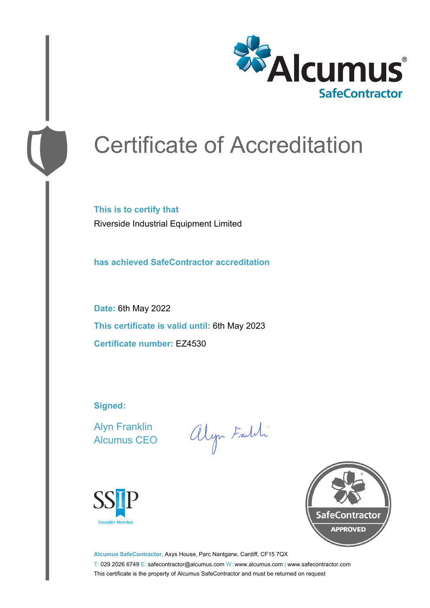

# Certificate of Accreditation

**This is to certify that** Riverside Industrial Equipment Limited

**has achieved SafeContractor accreditation**

**Date:** 6th May 2022 **This certificate is valid until:** 6th May 2023 **Certificate number:** EZ4530

**Signed:**

Alyn Franklin Alcumus CEO

alyn Faith





**Alcumus SafeContractor,** Axys House, Parc Nantgarw, Cardiff, CF15 7QX T: 029 2026 6749 E: safecontractor@alcumus.com W: www.alcumus.com | www.safecontractor.com This certificate is the property of Alcumus SafeContractor and must be returned on request